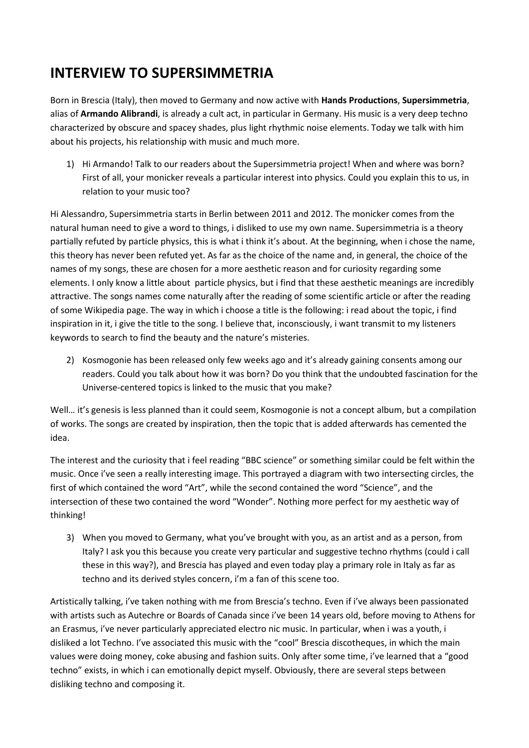## **INTERVIEW TO SUPERSIMMETRIA**

Born in Brescia (Italy), then moved to Germany and now active with **Hands Productions**, **Supersimmetria**, alias of **Armando Alibrandi**, is already a cult act, in particular in Germany. His music is a very deep techno characterized by obscure and spacey shades, plus light rhythmic noise elements. Today we talk with him about his projects, his relationship with music and much more.

1) Hi Armando! Talk to our readers about the Supersimmetria project! When and where was born? First of all, your monicker reveals a particular interest into physics. Could you explain this to us, in relation to your music too?

Hi Alessandro, Supersimmetria starts in Berlin between 2011 and 2012. The monicker comes from the natural human need to give a word to things, i disliked to use my own name. Supersimmetria is a theory partially refuted by particle physics, this is what i think it's about. At the beginning, when i chose the name, this theory has never been refuted yet. As far as the choice of the name and, in general, the choice of the names of my songs, these are chosen for a more aesthetic reason and for curiosity regarding some elements. I only know a little about particle physics, but i find that these aesthetic meanings are incredibly attractive. The songs names come naturally after the reading of some scientific article or after the reading of some Wikipedia page. The way in which i choose a title is the following: i read about the topic, i find inspiration in it, i give the title to the song. I believe that, inconsciously, i want transmit to my listeners keywords to search to find the beauty and the nature's misteries.

2) Kosmogonie has been released only few weeks ago and it's already gaining consents among our readers. Could you talk about how it was born? Do you think that the undoubted fascination for the Universe-centered topics is linked to the music that you make?

Well... it's genesis is less planned than it could seem, Kosmogonie is not a concept album, but a compilation of works. The songs are created by inspiration, then the topic that is added afterwards has cemented the idea.

The interest and the curiosity that i feel reading "BBC science" or something similar could be felt within the music. Once i've seen a really interesting image. This portrayed a diagram with two intersecting circles, the first of which contained the word "Art", while the second contained the word "Science", and the intersection of these two contained the word "Wonder". Nothing more perfect for my aesthetic way of thinking!

3) When you moved to Germany, what you've brought with you, as an artist and as a person, from Italy? I ask you this because you create very particular and suggestive techno rhythms (could i call these in this way?), and Brescia has played and even today play a primary role in Italy as far as techno and its derived styles concern, i'm a fan of this scene too.

Artistically talking, i've taken nothing with me from Brescia's techno. Even if i've always been passionated with artists such as Autechre or Boards of Canada since i've been 14 years old, before moving to Athens for an Erasmus, i've never particularly appreciated electro nic music. In particular, when i was a youth, i disliked a lot Techno. I've associated this music with the "cool" Brescia discotheques, in which the main values were doing money, coke abusing and fashion suits. Only after some time, i've learned that a "good techno" exists, in which i can emotionally depict myself. Obviously, there are several steps between disliking techno and composing it.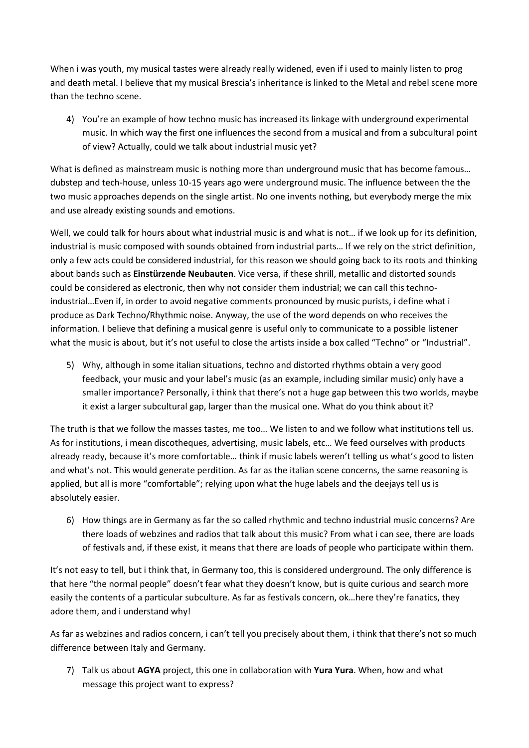When i was youth, my musical tastes were already really widened, even if i used to mainly listen to prog and death metal. I believe that my musical Brescia's inheritance is linked to the Metal and rebel scene more than the techno scene.

4) You're an example of how techno music has increased its linkage with underground experimental music. In which way the first one influences the second from a musical and from a subcultural point of view? Actually, could we talk about industrial music yet?

What is defined as mainstream music is nothing more than underground music that has become famous… dubstep and tech-house, unless 10-15 years ago were underground music. The influence between the the two music approaches depends on the single artist. No one invents nothing, but everybody merge the mix and use already existing sounds and emotions.

Well, we could talk for hours about what industrial music is and what is not… if we look up for its definition, industrial is music composed with sounds obtained from industrial parts… If we rely on the strict definition, only a few acts could be considered industrial, for this reason we should going back to its roots and thinking about bands such as **Einstürzende Neubauten**. Vice versa, if these shrill, metallic and distorted sounds could be considered as electronic, then why not consider them industrial; we can call this technoindustrial…Even if, in order to avoid negative comments pronounced by music purists, i define what i produce as Dark Techno/Rhythmic noise. Anyway, the use of the word depends on who receives the information. I believe that defining a musical genre is useful only to communicate to a possible listener what the music is about, but it's not useful to close the artists inside a box called "Techno" or "Industrial".

5) Why, although in some italian situations, techno and distorted rhythms obtain a very good feedback, your music and your label's music (as an example, including similar music) only have a smaller importance? Personally, i think that there's not a huge gap between this two worlds, maybe it exist a larger subcultural gap, larger than the musical one. What do you think about it?

The truth is that we follow the masses tastes, me too… We listen to and we follow what institutions tell us. As for institutions, i mean discotheques, advertising, music labels, etc… We feed ourselves with products already ready, because it's more comfortable… think if music labels weren't telling us what's good to listen and what's not. This would generate perdition. As far as the italian scene concerns, the same reasoning is applied, but all is more "comfortable"; relying upon what the huge labels and the deejays tell us is absolutely easier.

6) How things are in Germany as far the so called rhythmic and techno industrial music concerns? Are there loads of webzines and radios that talk about this music? From what i can see, there are loads of festivals and, if these exist, it means that there are loads of people who participate within them.

It's not easy to tell, but i think that, in Germany too, this is considered underground. The only difference is that here "the normal people" doesn't fear what they doesn't know, but is quite curious and search more easily the contents of a particular subculture. As far as festivals concern, ok…here they're fanatics, they adore them, and i understand why!

As far as webzines and radios concern, i can't tell you precisely about them, i think that there's not so much difference between Italy and Germany.

7) Talk us about **AGYA** project, this one in collaboration with **Yura Yura**. When, how and what message this project want to express?